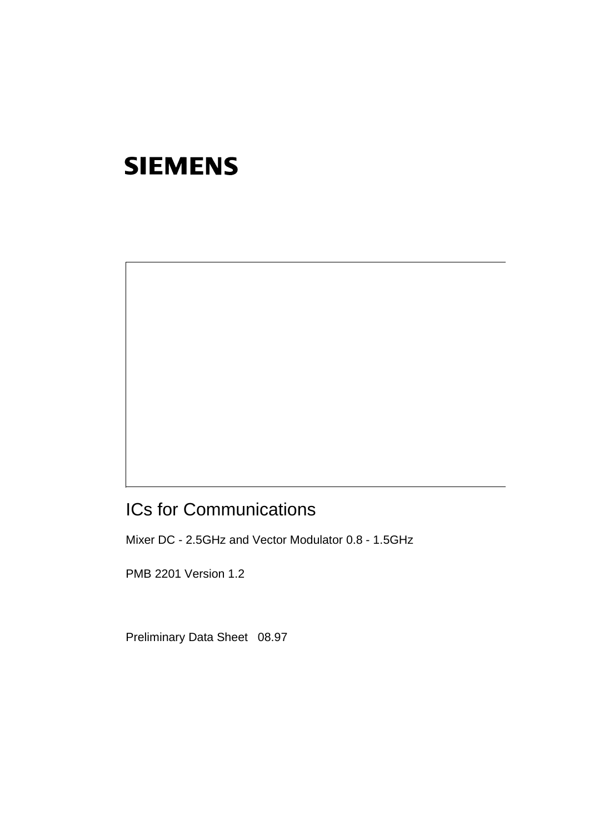# ICs for Communications

Mixer DC - 2.5GHz and Vector Modulator 0.8 - 1.5GHz

PMB 2201 Version 1.2

Preliminary Data Sheet 08.97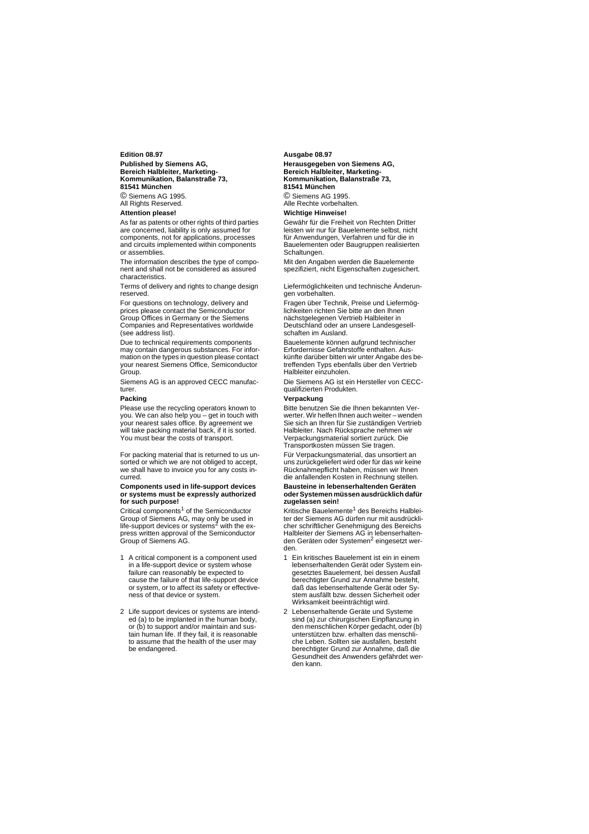**Edition 08.97 Published by Siemens AG, Bereich Halbleiter, Marketing-Kommunikation, Balanstraße 73, 81541 München** © Siemens AG 1995. **All Rights Reserved.** 

#### **Attention please!**

As far as patents or other rights of third parties are concerned, liability is only assumed for components, not for applications, processes and circuits implemented within components or assemblies.

The information describes the type of component and shall not be considered as assured characteristics.

Terms of delivery and rights to change design reserved.

For questions on technology, delivery and prices please contact the Semiconductor Group Offices in Germany or the Siemens Companies and Representatives worldwide (see address list).

Due to technical requirements components may contain dangerous substances. For information on the types in question please contact your nearest Siemens Office, Semiconductor Group.

Siemens AG is an approved CECC manufacturer.

#### **Packing**

Please use the recycling operators known to you. We can also help you – get in touch with your nearest sales office. By agreement we will take packing material back, if it is sorted. You must bear the costs of transport.

For packing material that is returned to us unsorted or which we are not obliged to accept, we shall have to invoice you for any costs incurred.

**Components used in life-support devices or systems must be expressly authorized for such purpose!**

Critical components $1$  of the Semiconductor Group of Siemens AG, may only be used in<br>life-support devices or systems<sup>2</sup> with the express written approval of the Semiconductor Group of Siemens AG.

- 1 A critical component is a component used in a life-support device or system whose failure can reasonably be expected to cause the failure of that life-support device or system, or to affect its safety or effectiveness of that device or system.
- 2 Life support devices or systems are intended (a) to be implanted in the human body, or (b) to support and/or maintain and sustain human life. If they fail, it is reasonable to assume that the health of the user may be endangered.

#### **Ausgabe 08.97**

**Herausgegeben von Siemens AG, Bereich Halbleiter, Marketing-Kommunikation, Balanstraße 73, 81541 München** © Siemens AG 1995. Alle Rechte vorbehalten.

#### **Wichtige Hinweise!**

Gewähr für die Freiheit von Rechten Dritter leisten wir nur für Bauelemente selbst, nicht für Anwendungen, Verfahren und für die in Bauelementen oder Baugruppen realisierten Schaltungen.

Mit den Angaben werden die Bauelemente spezifiziert, nicht Eigenschaften zugesichert.

Liefermöglichkeiten und technische Änderungen vorbehalten.

Fragen über Technik, Preise und Liefermöglichkeiten richten Sie bitte an den Ihnen nächstgelegenen Vertrieb Halbleiter in Deutschland oder an unsere Landesgesellschaften im Ausland.

Bauelemente können aufgrund technischer Erfordernisse Gefahrstoffe enthalten. Auskünfte darüber bitten wir unter Angabe des betreffenden Typs ebenfalls über den Vertrieb Halbleiter einzuholen.

Die Siemens AG ist ein Hersteller von CECCqualifizierten Produkten.

#### **Verpackung**

Bitte benutzen Sie die Ihnen bekannten Verwerter. Wir helfen Ihnen auch weiter – wenden Sie sich an Ihren für Sie zuständigen Vertrieb Halbleiter. Nach Rücksprache nehmen wir Verpackungsmaterial sortiert zurück. Die Transportkosten müssen Sie tragen.

Für Verpackungsmaterial, das unsortiert an uns zurückgeliefert wird oder für das wir keine Rücknahmepflicht haben, müssen wir Ihnen die anfallenden Kosten in Rechnung stellen.

**Bausteine in lebenserhaltenden Geräten oder Systemen müssen ausdrücklich dafür zugelassen sein!**

Kritische Bauelemente<sup>1</sup> des Bereichs Halbleiter der Siemens AG dürfen nur mit ausdrücklicher schriftlicher Genehmigung des Bereichs Halbleiter der Siemens AG in lebenserhaltenden Geräten oder Systemen<sup>2</sup> eingesetzt werden.

- 1 Ein kritisches Bauelement ist ein in einem lebenserhaltenden Gerät oder System eingesetztes Bauelement, bei dessen Ausfall berechtigter Grund zur Annahme besteht, daß das lebenserhaltende Gerät oder System ausfällt bzw. dessen Sicherheit oder Wirksamkeit beeinträchtigt wird.
- 2 Lebenserhaltende Geräte und Systeme sind (a) zur chirurgischen Einpflanzung in den menschlichen Körper gedacht, oder (b) unterstützen bzw. erhalten das menschliche Leben. Sollten sie ausfallen, besteht berechtigter Grund zur Annahme, daß die Gesundheit des Anwenders gefährdet werden kann.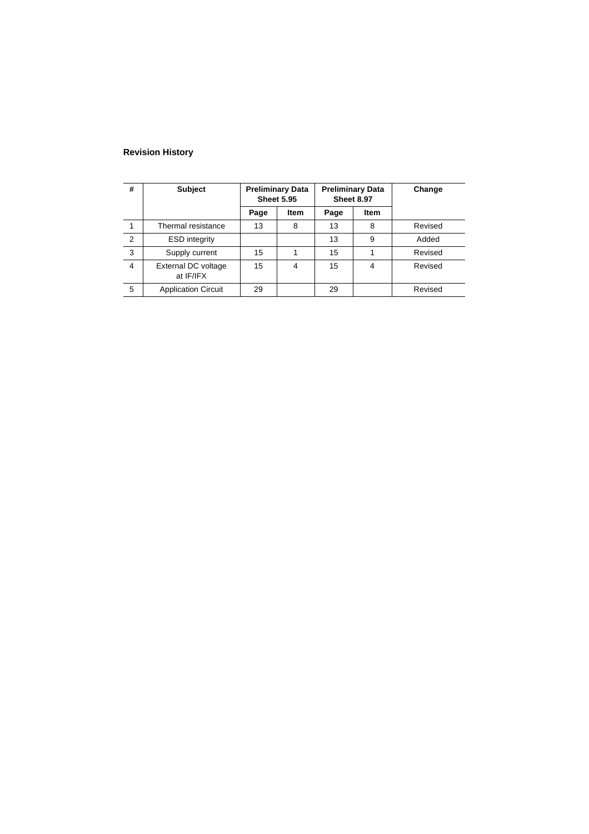### **Revision History**

| #              | <b>Subject</b>                   | <b>Preliminary Data</b><br><b>Sheet 5.95</b> |             |      | <b>Preliminary Data</b><br><b>Sheet 8.97</b> | Change  |
|----------------|----------------------------------|----------------------------------------------|-------------|------|----------------------------------------------|---------|
|                |                                  | Page                                         | <b>Item</b> | Page | Item                                         |         |
|                | Thermal resistance               | 13                                           | 8           | 13   | 8                                            | Revised |
| $\overline{2}$ | <b>ESD</b> integrity             |                                              |             | 13   | 9                                            | Added   |
| 3              | Supply current                   | 15                                           |             | 15   |                                              | Revised |
| 4              | External DC voltage<br>at IF/IFX | 15                                           | 4           | 15   | 4                                            | Revised |
| 5              | <b>Application Circuit</b>       | 29                                           |             | 29   |                                              | Revised |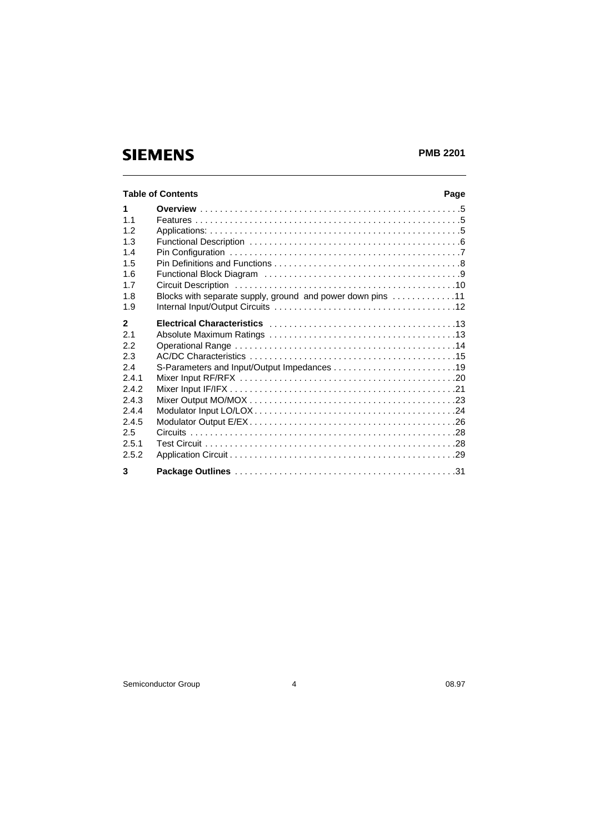### **PMB 2201**

|                | <b>Table of Contents</b>                                   | Page |
|----------------|------------------------------------------------------------|------|
| 1              |                                                            |      |
| 1 <sub>1</sub> |                                                            |      |
| 12             |                                                            |      |
| 1.3            |                                                            |      |
| 1.4            |                                                            |      |
| 1.5            |                                                            |      |
| 1.6            |                                                            |      |
| 17             |                                                            |      |
| 1.8            | Blocks with separate supply, ground and power down pins 11 |      |
| 1.9            |                                                            |      |
| $\overline{2}$ |                                                            |      |
| 2.1            |                                                            |      |
| 2.2            |                                                            |      |
| 2.3            |                                                            |      |
| 2.4            |                                                            |      |
| 2.4.1          |                                                            |      |
| 242            |                                                            |      |
| 2.4.3          |                                                            |      |
| 2.4.4          |                                                            |      |
| 2.4.5          |                                                            |      |
| 2.5            |                                                            |      |
| 2.5.1          |                                                            |      |
| 2.5.2          |                                                            |      |
| 3              |                                                            |      |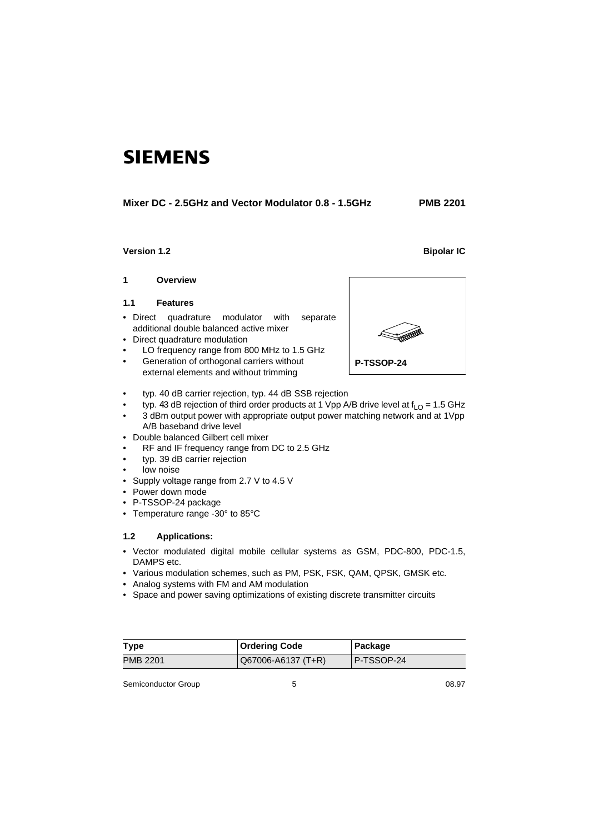### **Mixer DC - 2.5GHz and Vector Modulator 0.8 - 1.5GHz PMB 2201**

### **Version 1.2** Bipolar IC

#### **1 Overview**

### **1.1 Features**

- Direct quadrature modulator with separate additional double balanced active mixer
- Direct quadrature modulation
- LO frequency range from 800 MHz to 1.5 GHz
- Generation of orthogonal carriers without external elements and without trimming
- **P-TSSOP-24**
- typ. 40 dB carrier rejection, typ. 44 dB SSB rejection
- typ. 43 dB rejection of third order products at 1 Vpp A/B drive level at  $f_{LO} = 1.5$  GHz
	- 3 dBm output power with appropriate output power matching network and at 1Vpp A/B baseband drive level

Ï

- Double balanced Gilbert cell mixer
- RF and IF frequency range from DC to 2.5 GHz
- typ. 39 dB carrier rejection
- low noise
- Supply voltage range from 2.7 V to 4.5 V
- Power down mode
- P-TSSOP-24 package
- Temperature range -30° to 85°C

### **1.2 Applications:**

- Vector modulated digital mobile cellular systems as GSM, PDC-800, PDC-1.5, DAMPS etc.
- Various modulation schemes, such as PM, PSK, FSK, QAM, QPSK, GMSK etc.
- Analog systems with FM and AM modulation
- Space and power saving optimizations of existing discrete transmitter circuits

| Type     | <b>Ordering Code</b> | Package    |
|----------|----------------------|------------|
| PMB 2201 | Q67006-A6137 (T+R)   | P-TSSOP-24 |

Semiconductor Group 6 08.97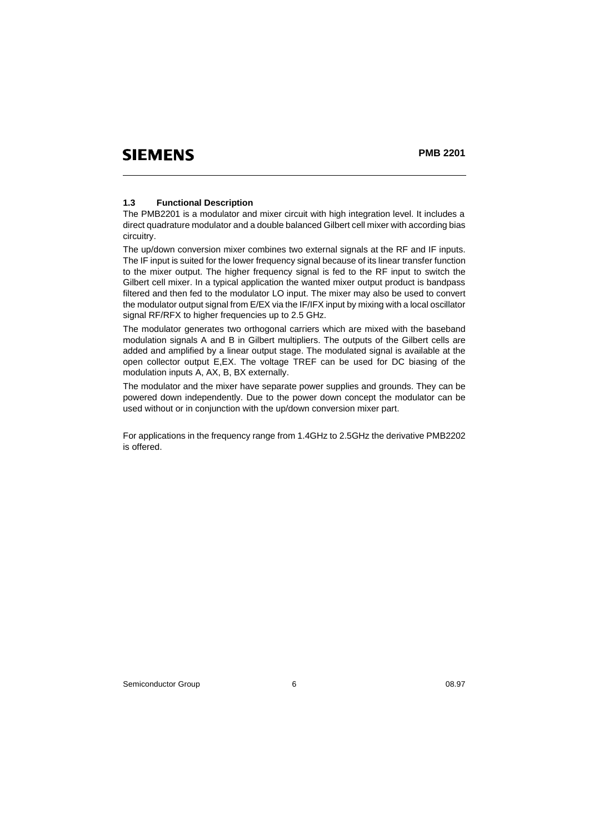### **1.3 Functional Description**

The PMB2201 is a modulator and mixer circuit with high integration level. It includes a direct quadrature modulator and a double balanced Gilbert cell mixer with according bias circuitry.

The up/down conversion mixer combines two external signals at the RF and IF inputs. The IF input is suited for the lower frequency signal because of its linear transfer function to the mixer output. The higher frequency signal is fed to the RF input to switch the Gilbert cell mixer. In a typical application the wanted mixer output product is bandpass filtered and then fed to the modulator LO input. The mixer may also be used to convert the modulator output signal from E/EX via the IF/IFX input by mixing with a local oscillator signal RF/RFX to higher frequencies up to 2.5 GHz.

The modulator generates two orthogonal carriers which are mixed with the baseband modulation signals A and B in Gilbert multipliers. The outputs of the Gilbert cells are added and amplified by a linear output stage. The modulated signal is available at the open collector output E,EX. The voltage TREF can be used for DC biasing of the modulation inputs A, AX, B, BX externally.

The modulator and the mixer have separate power supplies and grounds. They can be powered down independently. Due to the power down concept the modulator can be used without or in conjunction with the up/down conversion mixer part.

For applications in the frequency range from 1.4GHz to 2.5GHz the derivative PMB2202 is offered.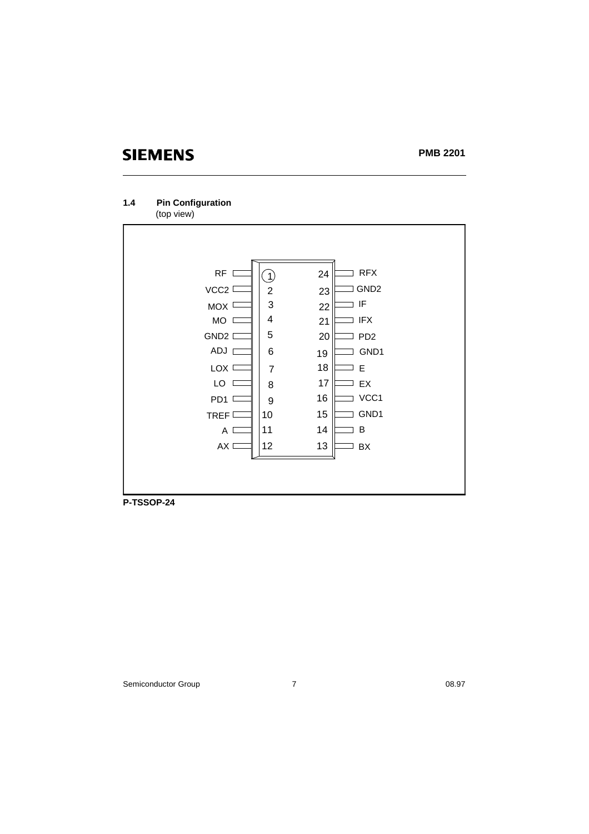### **PMB 2201**

### **1.4 Pin Configuration** (top view)



**P-TSSOP-24**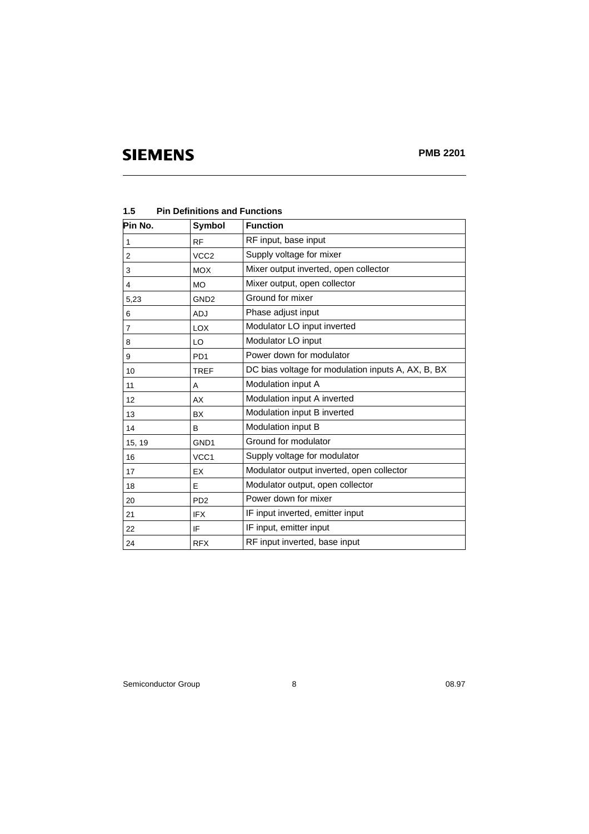| Pin No.        | Symbol                      | <b>Function</b>                                    |
|----------------|-----------------------------|----------------------------------------------------|
| 1              | <b>RF</b>                   | RF input, base input                               |
| 2              | VCC <sub>2</sub>            | Supply voltage for mixer                           |
| 3              | <b>MOX</b>                  | Mixer output inverted, open collector              |
| 4              | <b>MO</b>                   | Mixer output, open collector                       |
| 5,23           | GND <sub>2</sub>            | Ground for mixer                                   |
| 6              | <b>ADJ</b>                  | Phase adjust input                                 |
| $\overline{7}$ | <b>LOX</b>                  | Modulator LO input inverted                        |
| 8              | LO                          | Modulator LO input                                 |
| 9              | PD <sub>1</sub>             | Power down for modulator                           |
| 10             | <b>TREF</b>                 | DC bias voltage for modulation inputs A, AX, B, BX |
| 11             | A                           | Modulation input A                                 |
| 12             | AX                          | Modulation input A inverted                        |
| 13             | <b>BX</b>                   | Modulation input B inverted                        |
| 14             | B                           | Modulation input B                                 |
| 15, 19         | GND <sub>1</sub>            | Ground for modulator                               |
| 16             | VCC1                        | Supply voltage for modulator                       |
| 17             | EX                          | Modulator output inverted, open collector          |
| 18             | E                           | Modulator output, open collector                   |
| 20             | P <sub>D</sub> <sub>2</sub> | Power down for mixer                               |
| 21             | <b>IFX</b>                  | IF input inverted, emitter input                   |
| 22             | IF                          | IF input, emitter input                            |
| 24             | <b>RFX</b>                  | RF input inverted, base input                      |

**1.5 Pin Definitions and Functions** 

Semiconductor Group 8 08.97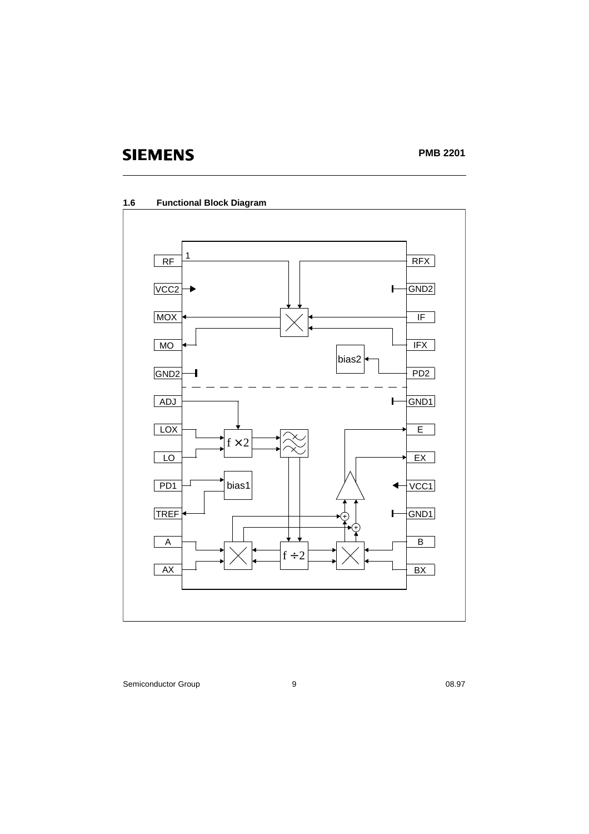

### **1.6 Functional Block Diagram**

Semiconductor Group 9 08.97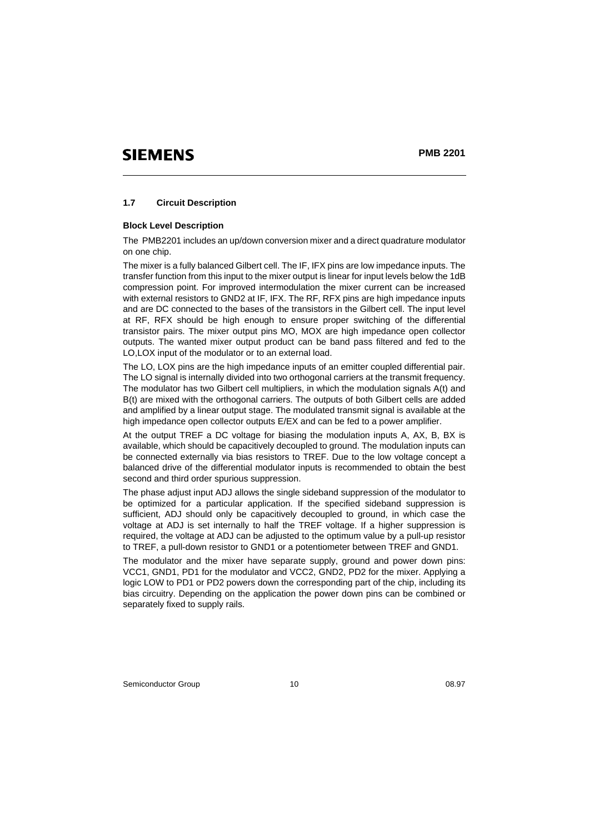### **1.7 Circuit Description**

#### **Block Level Description**

The PMB2201 includes an up/down conversion mixer and a direct quadrature modulator on one chip.

The mixer is a fully balanced Gilbert cell. The IF, IFX pins are low impedance inputs. The transfer function from this input to the mixer output is linear for input levels below the 1dB compression point. For improved intermodulation the mixer current can be increased with external resistors to GND2 at IF, IFX. The RF, RFX pins are high impedance inputs and are DC connected to the bases of the transistors in the Gilbert cell. The input level at RF, RFX should be high enough to ensure proper switching of the differential transistor pairs. The mixer output pins MO, MOX are high impedance open collector outputs. The wanted mixer output product can be band pass filtered and fed to the LO,LOX input of the modulator or to an external load.

The LO, LOX pins are the high impedance inputs of an emitter coupled differential pair. The LO signal is internally divided into two orthogonal carriers at the transmit frequency. The modulator has two Gilbert cell multipliers, in which the modulation signals A(t) and B(t) are mixed with the orthogonal carriers. The outputs of both Gilbert cells are added and amplified by a linear output stage. The modulated transmit signal is available at the high impedance open collector outputs E/EX and can be fed to a power amplifier.

At the output TREF a DC voltage for biasing the modulation inputs A, AX, B, BX is available, which should be capacitively decoupled to ground. The modulation inputs can be connected externally via bias resistors to TREF. Due to the low voltage concept a balanced drive of the differential modulator inputs is recommended to obtain the best second and third order spurious suppression.

The phase adjust input ADJ allows the single sideband suppression of the modulator to be optimized for a particular application. If the specified sideband suppression is sufficient, ADJ should only be capacitively decoupled to ground, in which case the voltage at ADJ is set internally to half the TREF voltage. If a higher suppression is required, the voltage at ADJ can be adjusted to the optimum value by a pull-up resistor to TREF, a pull-down resistor to GND1 or a potentiometer between TREF and GND1.

The modulator and the mixer have separate supply, ground and power down pins: VCC1, GND1, PD1 for the modulator and VCC2, GND2, PD2 for the mixer. Applying a logic LOW to PD1 or PD2 powers down the corresponding part of the chip, including its bias circuitry. Depending on the application the power down pins can be combined or separately fixed to supply rails.

Semiconductor Group 10 08.97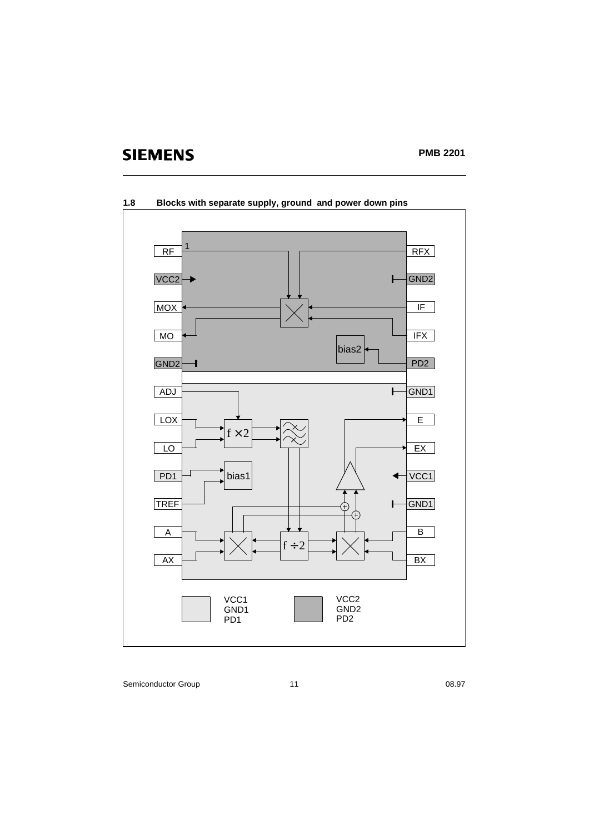

### **1.8 Blocks with separate supply, ground and power down pins**

Semiconductor Group 11 08.97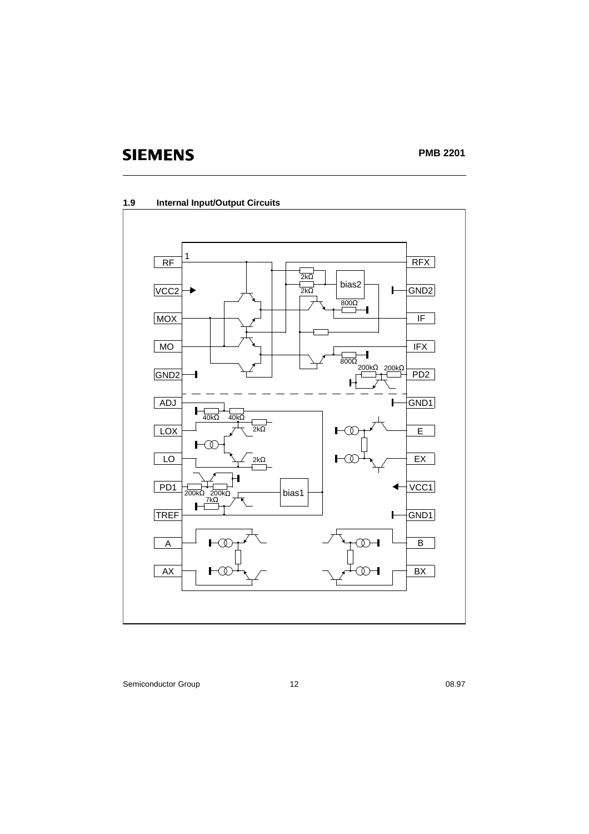



Semiconductor Group 12 08.97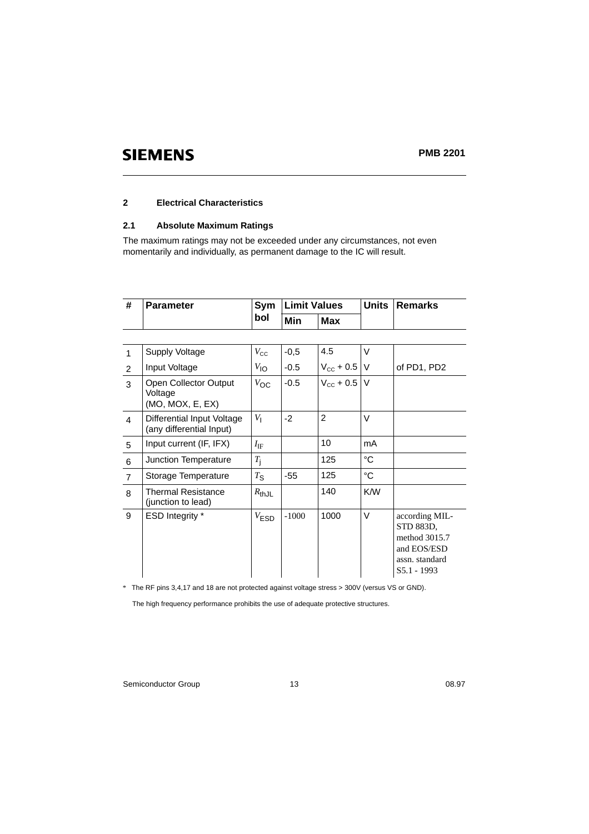### **2 Electrical Characteristics**

### **2.1 Absolute Maximum Ratings**

The maximum ratings may not be exceeded under any circumstances, not even momentarily and individually, as permanent damage to the IC will result.

| #              | <b>Parameter</b>                                       | Sym                | <b>Limit Values</b> |                         |             | <b>Remarks</b>                                                                               |
|----------------|--------------------------------------------------------|--------------------|---------------------|-------------------------|-------------|----------------------------------------------------------------------------------------------|
|                |                                                        | bol                | Min                 | <b>Max</b>              |             |                                                                                              |
|                |                                                        |                    |                     |                         |             |                                                                                              |
| 1              | Supply Voltage                                         | $V_{\rm CC}$       | $-0,5$              | 4.5                     | V           |                                                                                              |
| 2              | Input Voltage                                          | $V_{\text{IO}}$    | $-0.5$              | $V_{\text{cc}} + 0.5$ V |             | of PD1, PD2                                                                                  |
| 3              | Open Collector Output<br>Voltage<br>(MO, MOX, E, EX)   | $V_{OC}$           | $-0.5$              | $V_{\text{cc}} + 0.5$ V |             |                                                                                              |
| $\overline{4}$ | Differential Input Voltage<br>(any differential Input) | $V_{\parallel}$    | $-2$                | 2                       | V           |                                                                                              |
| 5              | Input current (IF, IFX)                                | $I_{\rm  F}$       |                     | 10                      | mA          |                                                                                              |
| $\,6$          | Junction Temperature                                   | $T_{\rm i}$        |                     | 125                     | °C          |                                                                                              |
| $\overline{7}$ | Storage Temperature                                    | $T_{\text{S}}$     | $-55$               | 125                     | $^{\circ}C$ |                                                                                              |
| 8              | <b>Thermal Resistance</b><br>(junction to lead)        | $R_{thJL}$         |                     | 140                     | K/W         |                                                                                              |
| 9              | ESD Integrity *                                        | $V_{\textsf{ESD}}$ | $-1000$             | 1000                    | V           | according MIL-<br>STD 883D,<br>method 3015.7<br>and EOS/ESD<br>assn. standard<br>S5.1 - 1993 |

*\** The RF pins 3,4,17 and 18 are not protected against voltage stress > 300V (versus VS or GND).

The high frequency performance prohibits the use of adequate protective structures.

Semiconductor Group 13 08.97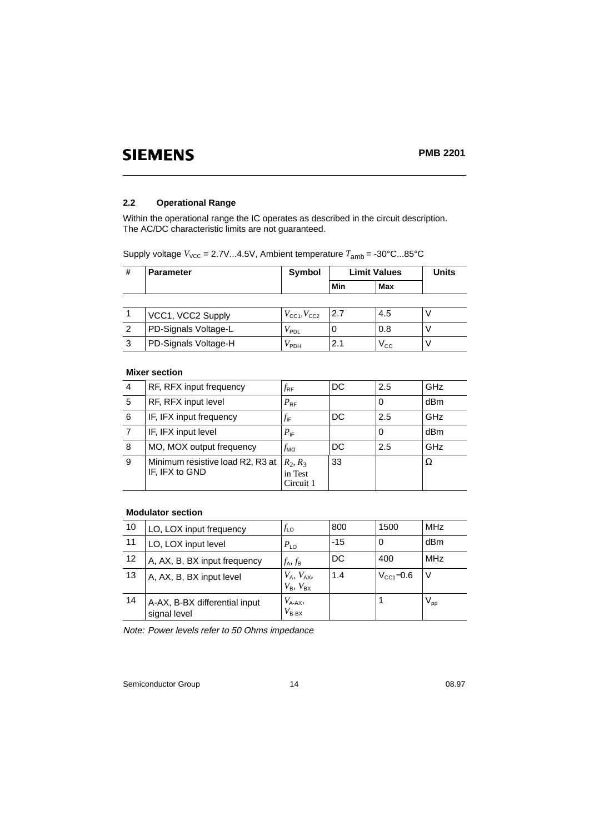### **2.2 Operational Range**

Within the operational range the IC operates as described in the circuit description. The AC/DC characteristic limits are not guaranteed.

Supply voltage  $V_{\text{VCC}} = 2.7 \text{V} \dots 4.5 \text{V}$ , Ambient temperature  $T_{\text{amb}} = -30^{\circ} \text{C} \dots 85^{\circ} \text{C}$ 

| # | <b>Parameter</b>     | Symbol                              | <b>Limit Values</b> | <b>Units</b>     |   |
|---|----------------------|-------------------------------------|---------------------|------------------|---|
|   |                      |                                     | Min                 | Max              |   |
|   |                      |                                     |                     |                  |   |
|   | VCC1, VCC2 Supply    | $V_{\text{CC}1}$ , $V_{\text{CC}2}$ | 2.7                 | 4.5              | ν |
| 2 | PD-Signals Voltage-L | $V_{\mathsf{PDL}}$                  |                     | 0.8              | ν |
| 3 | PD-Signals Voltage-H | $V_{\mathsf{PDH}}$                  | 2.1                 | $\rm V_{\rm CC}$ |   |

### **Mixer section**

| RF, RFX input frequency                            | $f_{\sf{RF}}$                      | DC | 2.5 | GHz |
|----------------------------------------------------|------------------------------------|----|-----|-----|
| RF, RFX input level                                | $P_{\text{RF}}$                    |    | 0   | dBm |
| IF, IFX input frequency                            | $f_{\sf IF}$                       | DC | 2.5 | GHz |
| IF, IFX input level                                | $P_{IF}$                           |    | 0   | dBm |
| MO, MOX output frequency                           | $f_{\text{MO}}$                    | DC | 2.5 | GHz |
| Minimum resistive load R2, R3 at<br>IF, IFX to GND | $R_2, R_3$<br>in Test<br>Circuit 1 | 33 |     | Ω   |
|                                                    |                                    |    |     |     |

### **Modulator section**

| 10 | LO, LOX input frequency                       | $f_{\mathsf{LO}}$                      | 800   | 1500                  | <b>MHz</b>      |
|----|-----------------------------------------------|----------------------------------------|-------|-----------------------|-----------------|
| 11 | LO, LOX input level                           | $P_{\text{LO}}$                        | $-15$ | 0                     | dBm             |
| 12 | A, AX, B, BX input frequency                  | $f_{\mathsf{A}}, f_{\mathsf{B}}$       | DC    | 400                   | <b>MHz</b>      |
| 13 | A, AX, B, BX input level                      | $V_A$ , $V_{AX}$ ,<br>$V_B$ , $V_{BX}$ | 1.4   | $V_{\text{CC1}}$ –0.6 | V               |
| 14 | A-AX, B-BX differential input<br>signal level | $V_{A-AX}$<br>$V_{B-BX}$               |       |                       | $V_{\text{pp}}$ |

Note: Power levels refer to 50 Ohms impedance

Semiconductor Group 14 08.97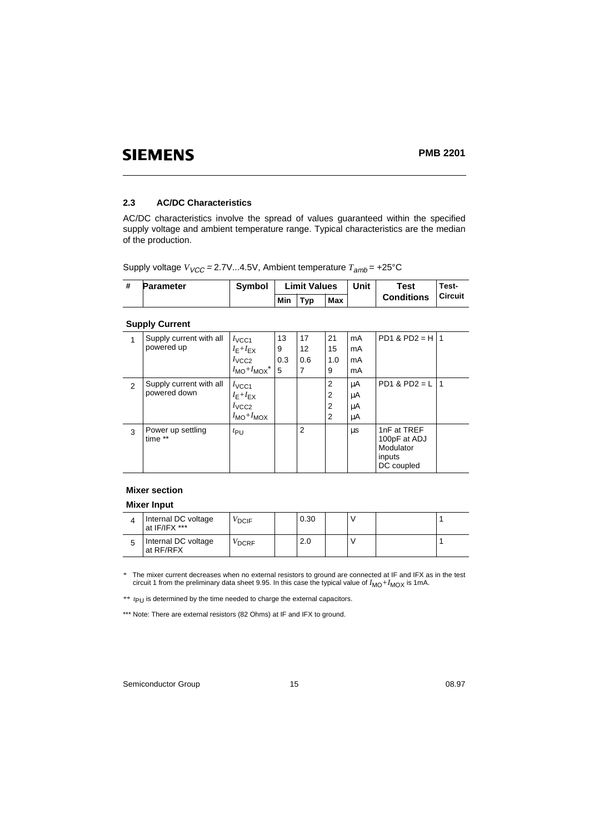### **PMB 2201**

### **2.3 AC/DC Characteristics**

AC/DC characteristics involve the spread of values guaranteed within the specified supply voltage and ambient temperature range. Typical characteristics are the median of the production.

Supply voltage  $V_{VCC}$  = 2.7V...4.5V, Ambient temperature  $T_{amb}$  = +25°C

| <b>Parameter</b> | <b>Symbol</b> |     | <b>Limit Values</b> |     | Unit | Test              | Test-          |
|------------------|---------------|-----|---------------------|-----|------|-------------------|----------------|
|                  |               | Min | Tvp                 | Max |      | <b>Conditions</b> | <b>Circuit</b> |

### **Supply Current**

|   | Supply current with all      | $I_{\text{VCC1}}$                    | 13  | 17             | 21             | mA | $PD1 & PD2 = H11$                                                |    |
|---|------------------------------|--------------------------------------|-----|----------------|----------------|----|------------------------------------------------------------------|----|
|   | powered up                   | $I_{E}+I_{EX}$                       | 9   | 12             | 15             | mA |                                                                  |    |
|   |                              | $I_{\text{VCC2}}$                    | 0.3 | 0.6            | 1.0            | mA |                                                                  |    |
|   |                              | $I_{\text{MO}}$ + $I_{\text{MOX}}^*$ | 5   | 7              | 9              | mA |                                                                  |    |
| 2 | Supply current with all      | $I_{\text{VCC1}}$                    |     |                | 2              | μA | $PD1 & PD2 = L$                                                  | -1 |
|   | powered down                 | $I_{E}+I_{EX}$                       |     |                | $\overline{2}$ | μA |                                                                  |    |
|   |                              | $I_{\text{VCC2}}$                    |     |                | $\overline{2}$ | μA |                                                                  |    |
|   |                              | $I_{\text{MO}}+I_{\text{MOX}}$       |     |                | $\overline{2}$ | μA |                                                                  |    |
| 3 | Power up settling<br>time ** | $t_{\text{PU}}$                      |     | $\overline{2}$ |                | μs | 1nF at TREF<br>100pF at ADJ<br>Modulator<br>inputs<br>DC coupled |    |

### **Mixer section**

### **Mixer Input**

| Internal DC voltage<br>at IF/IFX *** | DCIF <sup>/</sup> | 0.30 |  |  |
|--------------------------------------|-------------------|------|--|--|
| Internal DC voltage<br>at RF/RFX     | DCRF <sup>/</sup> | 2.0  |  |  |

\* The mixer current decreases when no external resistors to ground are connected at IF and IFX as in the test<br>circuit 1 from the preliminary data sheet 9.95. In this case the typical value of  $I_{\text{MO}}+I_{\text{MOX}}$  is 1mA.

*\*\* t*PU is determined by the time needed to charge the external capacitors.

\*\*\* Note: There are external resistors (82 Ohms) at IF and IFX to ground.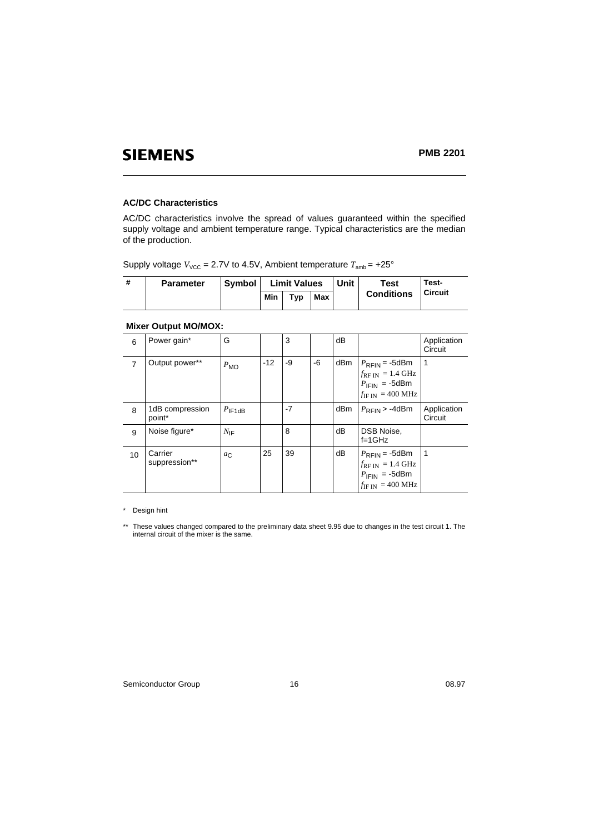### **AC/DC Characteristics**

AC/DC characteristics involve the spread of values guaranteed within the specified supply voltage and ambient temperature range. Typical characteristics are the median of the production.

| Supply voltage $V_{\text{VCC}}$ = 2.7V to 4.5V, Ambient temperature $T_{\text{amb}}$ = +25° |  |  |  |  |  |
|---------------------------------------------------------------------------------------------|--|--|--|--|--|
|---------------------------------------------------------------------------------------------|--|--|--|--|--|

| <b>Parameter</b> | <b>Symbol</b> | <b>Limit Values</b> |                 | Unit | Test | Test-             |         |
|------------------|---------------|---------------------|-----------------|------|------|-------------------|---------|
|                  |               | Min                 | T <sub>VD</sub> | Max  |      | <b>Conditions</b> | Circuit |

### **Mixer Output MO/MOX:**

| 6              | Power gain*               | G                  |       | 3    |    | dB  |                                                                                                                               | Application<br>Circuit |
|----------------|---------------------------|--------------------|-------|------|----|-----|-------------------------------------------------------------------------------------------------------------------------------|------------------------|
| $\overline{7}$ | Output power**            | $P_{\text{MO}}$    | $-12$ | -9   | -6 | dBm | $P_{\text{RFIN}} = -5$ dBm<br>$f_{\rm RF\,IN}$ = 1.4 GHz<br>$P_{\text{IFIN}}$ = -5dBm<br>$f_{\text{IF IN}} = 400 \text{ MHz}$ | 1                      |
| 8              | 1dB compression<br>point* | $P_{\text{IF1dB}}$ |       | $-7$ |    | dBm | $P_{\rm RFIN}$ > -4dBm                                                                                                        | Application<br>Circuit |
| 9              | Noise figure*             | $N_{\text{IF}}$    |       | 8    |    | dB  | DSB Noise,<br>$f=1$ GHz                                                                                                       |                        |
| 10             | Carrier<br>suppression**  | $a_{\mathcal{C}}$  | 25    | 39   |    | dB  | $P_{\text{RFIN}} = -5$ dBm<br>$f_{\rm RF\,IN}$ = 1.4 GHz<br>$P_{\text{IFIN}}$ = -5dBm<br>$f_{\text{IF IN}} = 400 \text{ MHz}$ | 1                      |

\* Design hint

\*\* These values changed compared to the preliminary data sheet 9.95 due to changes in the test circuit 1. The internal circuit of the mixer is the same.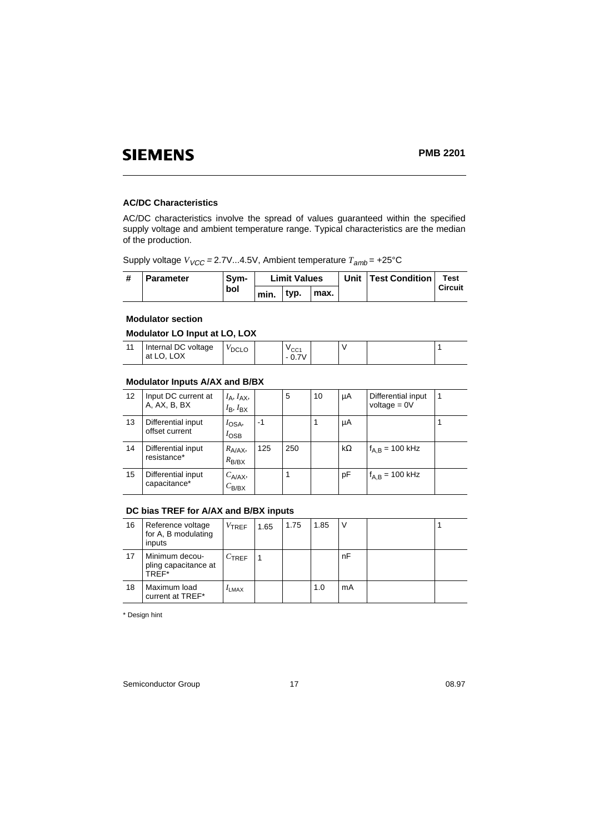### **AC/DC Characteristics**

AC/DC characteristics involve the spread of values guaranteed within the specified supply voltage and ambient temperature range. Typical characteristics are the median of the production.

Supply voltage  $V_{VCC}$  = 2.7V...4.5V, Ambient temperature  $T_{amb}$  = +25°C

| <b>Parameter</b> | . Svm- |      | <b>Limit Values</b> |      |  | Unit   Test Condition | Test           |
|------------------|--------|------|---------------------|------|--|-----------------------|----------------|
|                  | bol    | min. | typ.                | max. |  |                       | <b>Circuit</b> |

### **Modulator section**

**Modulator LO Input at LO, LOX**

| at LO. LOX<br>$-0.7V$ | 11 | Internal DC voltage | $V_{\text{DCLO}}$ |  | $v_{\rm CC1}$ |  |  |  |  |  |
|-----------------------|----|---------------------|-------------------|--|---------------|--|--|--|--|--|
|-----------------------|----|---------------------|-------------------|--|---------------|--|--|--|--|--|

### **Modulator Inputs A/AX and B/BX**

| 12 | Input DC current at<br>A, AX, B, BX  | $I_A$ , $I_{AX}$ ,<br>$I_{\mathsf{B}}$ , $I_{\mathsf{BX}}$ |      | 5   | 10 | μA        | Differential input<br>voltage = $0V$ | -1 |
|----|--------------------------------------|------------------------------------------------------------|------|-----|----|-----------|--------------------------------------|----|
| 13 | Differential input<br>offset current | $I_{OSA}$<br>$I_{\text{OSB}}$                              | $-1$ |     |    | μA        |                                      |    |
| 14 | Differential input<br>resistance*    | $R_{A/AX}$<br>$R_{B/BX}$                                   | 125  | 250 |    | $k\Omega$ | $f_{A,B} = 100 \text{ kHz}$          |    |
| 15 | Differential input<br>capacitance*   | $C_{A/AX}$<br>$C_{\text{B/BX}}$                            |      |     |    | pF        | $f_{A,B} = 100$ kHz                  |    |

### **DC bias TREF for A/AX and B/BX inputs**

| 16 | Reference voltage<br>for A, B modulating<br>inputs | $V_{\text{TREF}}$ | 1.65 | 1.75 | 1.85 | V  |  |
|----|----------------------------------------------------|-------------------|------|------|------|----|--|
| 17 | Minimum decou-<br>pling capacitance at<br>TREF*    | $C_{\text{TREF}}$ |      |      |      | nF |  |
| 18 | Maximum load<br>current at TREF*                   | $I_{LMAX}$        |      |      | 1.0  | mA |  |

\* Design hint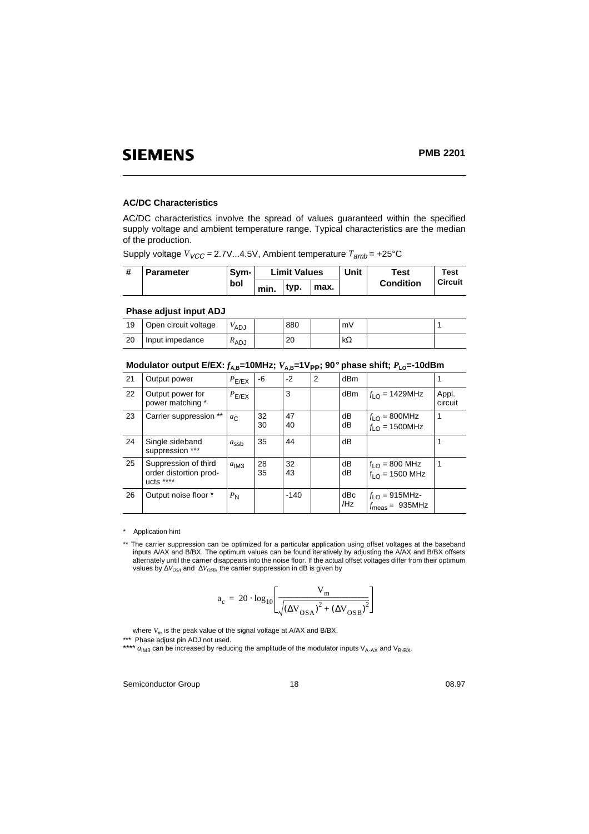### **AC/DC Characteristics**

AC/DC characteristics involve the spread of values guaranteed within the specified supply voltage and ambient temperature range. Typical characteristics are the median of the production.

Supply voltage  $V_{VCC}$  = 2.7V...4.5V, Ambient temperature  $T_{amb}$  = +25°C

| <b>Parameter</b> | Svm- | <b>Limit Values</b> |      |      | Unit | Test             | Test           |
|------------------|------|---------------------|------|------|------|------------------|----------------|
|                  | bol  | min.                | tvp. | max. |      | <b>Condition</b> | <b>Circuit</b> |

### **Phase adjust input ADJ**

| 19 | Open circuit voltage | <sup>V</sup> ADJ | 880 | m٧        |  |
|----|----------------------|------------------|-----|-----------|--|
| 20 | Input impedance      | "ADJ             | 20  | $k\Omega$ |  |

|    | modulator butput L/LA. $f_{AB}$ = 19mmL, $f_{AB}$ = 1 rpp, 30 phase simit, $I_{10}$ = 1900mm |                  |          |          |   |                 |                                                          |                  |
|----|----------------------------------------------------------------------------------------------|------------------|----------|----------|---|-----------------|----------------------------------------------------------|------------------|
| 21 | Output power                                                                                 | $P_{E/EX}$       | -6       | $-2$     | 2 | dB <sub>m</sub> |                                                          |                  |
| 22 | Output power for<br>power matching *                                                         | $P_{E/EX}$       |          | 3        |   | dB <sub>m</sub> | $f_{LO} = 1429$ MHz                                      | Appl.<br>circuit |
| 23 | Carrier suppression **                                                                       | $a_{\rm C}$      | 32<br>30 | 47<br>40 |   | dB<br>dB        | $f_{LO} = 800$ MHz<br>$f_{LO}$ = 1500MHz                 | 1                |
| 24 | Single sideband<br>suppression ***                                                           | $a_{\text{ssb}}$ | 35       | 44       |   | dB              |                                                          |                  |
| 25 | Suppression of third<br>order distortion prod-<br>$ucts$ ****                                | a <sub>IM3</sub> | 28<br>35 | 32<br>43 |   | dB<br>dB        | $f_{LO}$ = 800 MHz<br>$f_{1O}$ = 1500 MHz                | 1                |
| 26 | Output noise floor *                                                                         | $P_{N}$          |          | $-140$   |   | dBc<br>/Hz      | $f_{LO}$ = 915MHz-<br>$f_{\text{meas}} = 935 \text{MHz}$ |                  |

**Modulator output E/EX:**  $f_{\lambda}$  = 10MHz;  $V_{\lambda}$  = 1V<sub>PP</sub>; 90° phase shift;  $P_{\lambda}$  = -10dBm

#### \* Application hint

\*\* The carrier suppression can be optimized for a particular application using offset voltages at the baseband inputs A/AX and B/BX. The optimum values can be found iteratively by adjusting the A/AX and B/BX offsets alternately until the carrier disappears into the noise floor. If the actual offset voltages differ from their optimum<br>values by ∆*V<sub>oSA</sub>* and ∆*V<sub>oSB</sub>*, the carrier suppression in dB is given by

$$
a_{c} = 20 \cdot \log_{10} \left[ \frac{V_{m}}{\sqrt{(\Delta V_{OSA})^{2} + (\Delta V_{OSB})^{2}}} \right]
$$

where  $V_m$  is the peak value of the signal voltage at  $A/AX$  and  $B/BX$ .

\*\*\* Phase adjust pin ADJ not used.

\*\*\*\* *a*<sub>IM3</sub> can be increased by reducing the amplitude of the modulator inputs V<sub>A-AX</sub> and V<sub>B-BX</sub>.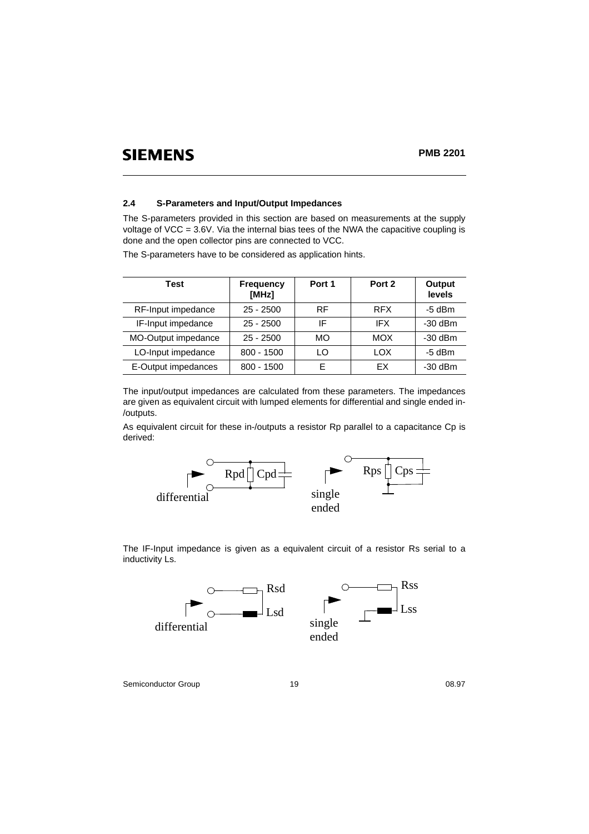### **PMB 2201**

### **2.4 S-Parameters and Input/Output Impedances**

The S-parameters provided in this section are based on measurements at the supply voltage of VCC = 3.6V. Via the internal bias tees of the NWA the capacitive coupling is done and the open collector pins are connected to VCC.

The S-parameters have to be considered as application hints.

| Test                | <b>Frequency</b><br>[MHz] | Port 1 | Port 2     | Output<br>levels |
|---------------------|---------------------------|--------|------------|------------------|
| RF-Input impedance  | $25 - 2500$               | RF     | <b>RFX</b> | -5 dBm           |
| IF-Input impedance  | $25 - 2500$               | IF     | <b>IFX</b> | $-30$ dBm        |
| MO-Output impedance | $25 - 2500$               | MO.    | <b>MOX</b> | $-30$ dBm        |
| LO-Input impedance  | $800 - 1500$              | LO     | LOX        | $-5$ dBm         |
| E-Output impedances | $800 - 1500$              | F      | FX         | $-30$ dBm        |

The input/output impedances are calculated from these parameters. The impedances are given as equivalent circuit with lumped elements for differential and single ended in- /outputs.

As equivalent circuit for these in-/outputs a resistor Rp parallel to a capacitance Cp is derived:



The IF-Input impedance is given as a equivalent circuit of a resistor Rs serial to a inductivity Ls.



Semiconductor Group 19 08.97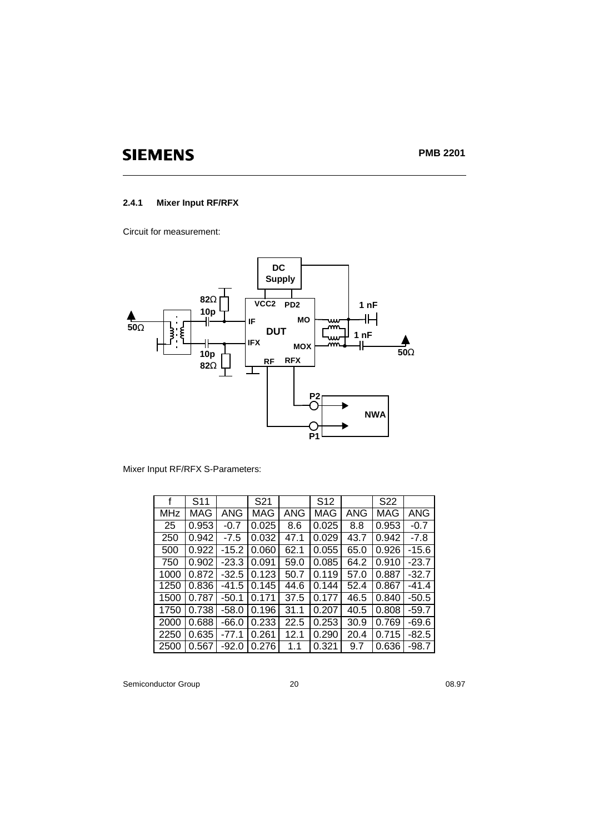### **2.4.1 Mixer Input RF/RFX**

Circuit for measurement:



Mixer Input RF/RFX S-Parameters:

|            | S <sub>11</sub> |         | S <sub>21</sub> |      | S <sub>12</sub> |      | S22   |         |
|------------|-----------------|---------|-----------------|------|-----------------|------|-------|---------|
| <b>MHz</b> | MAG             | ANG     | MAG             | ANG  | MAG             | ANG  | MAG   | ANG     |
| 25         | 0.953           | $-0.7$  | 0.025           | 8.6  | 0.025           | 8.8  | 0.953 | $-0.7$  |
| 250        | 0.942           | $-7.5$  | 0.032           | 47.1 | 0.029           | 43.7 | 0.942 | $-7.8$  |
| 500        | 0.922           | $-15.2$ | 0.060           | 62.1 | 0.055           | 65.0 | 0.926 | $-15.6$ |
| 750        | 0.902           | $-23.3$ | 0.091           | 59.0 | 0.085           | 64.2 | 0.910 | $-23.7$ |
| 1000       | 0.872           | $-32.5$ | 0.123           | 50.7 | 0.119           | 57.0 | 0.887 | $-32.7$ |
| 1250       | 0.836           | $-41.5$ | 0.145           | 44.6 | 0.144           | 52.4 | 0.867 | $-41.4$ |
| 1500       | 0.787           | $-50.1$ | 0.171           | 37.5 | 0.177           | 46.5 | 0.840 | $-50.5$ |
| 1750       | 0.738           | $-58.0$ | 0.196           | 31.1 | 0.207           | 40.5 | 0.808 | $-59.7$ |
| 2000       | 0.688           | $-66.0$ | 0.233           | 22.5 | 0.253           | 30.9 | 0.769 | $-69.6$ |
| 2250       | 0.635           | $-77.1$ | 0.261           | 12.1 | 0.290           | 20.4 | 0.715 | $-82.5$ |
| 2500       | 0.567           | $-92.0$ | 0.276           | 1.1  | 0.321           | 9.7  | 0.636 | $-98.7$ |

Semiconductor Group 20 20 08.97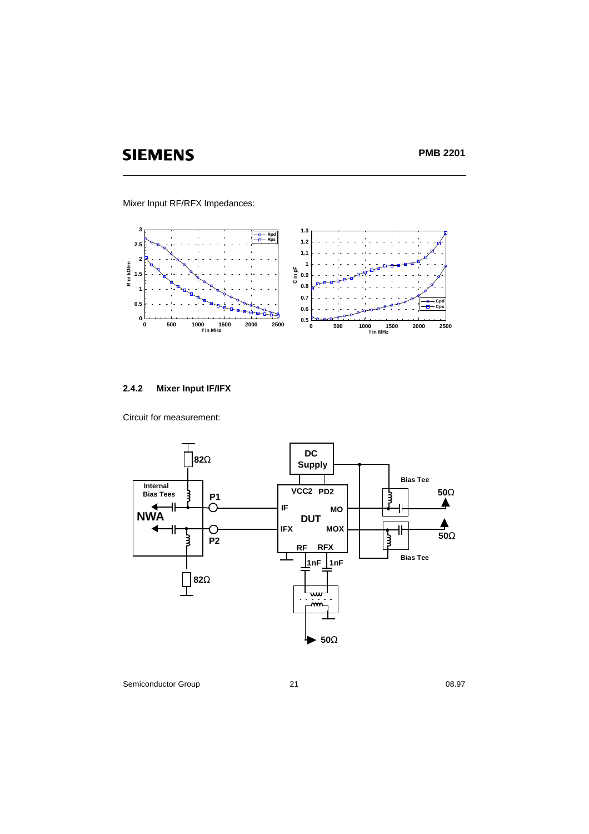**PMB 2201**

Mixer Input RF/RFX Impedances:



### **2.4.2 Mixer Input IF/IFX**

Circuit for measurement:



Semiconductor Group 21 08.97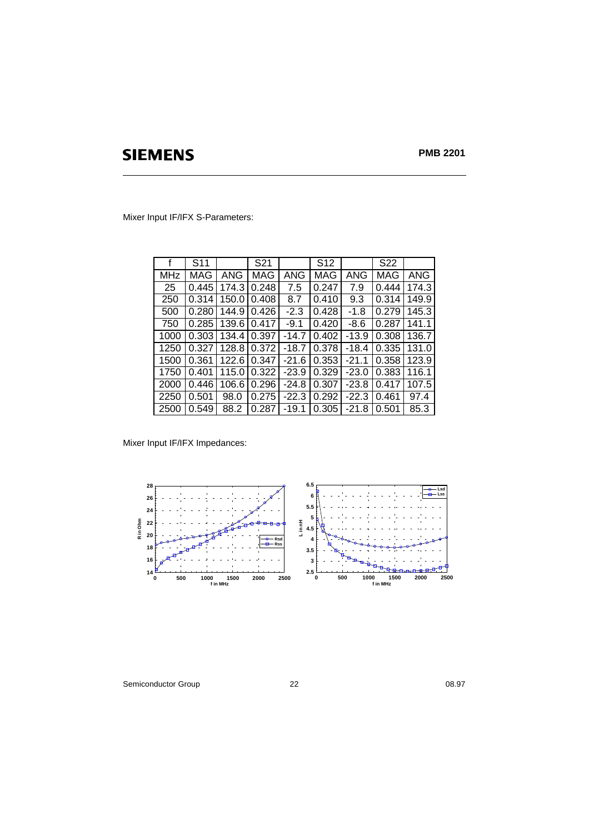**PMB 2201**

Mixer Input IF/IFX S-Parameters:

| f          | S <sub>11</sub> |       | S21   |         | S <sub>12</sub> |         | S22        |       |
|------------|-----------------|-------|-------|---------|-----------------|---------|------------|-------|
| <b>MHz</b> | <b>MAG</b>      | ANG   | MAG   | ANG     | MAG             | ANG     | <b>MAG</b> | ANG   |
| 25         | 0.445           | 174.3 | 0.248 | 7.5     | 0.247           | 7.9     | 0.444      | 174.3 |
| 250        | 0.314           | 150.0 | 0.408 | 8.7     | 0.410           | 9.3     | 0.314      | 149.9 |
| 500        | 0.280           | 144.9 | 0.426 | $-2.3$  | 0.428           | $-1.8$  | 0.279      | 145.3 |
| 750        | 0.285           | 139.6 | 0.417 | $-9.1$  | 0.420           | $-8.6$  | 0.287      | 141.1 |
| 1000       | 0.303           | 134.4 | 0.397 | $-14.7$ | 0.402           | $-13.9$ | 0.308      | 136.7 |
| 1250       | 0.327           | 128.8 | 0.372 | $-18.7$ | 0.378           | $-18.4$ | 0.335      | 131.0 |
| 1500       | 0.361           | 122.6 | 0.347 | $-21.6$ | 0.353           | $-21.1$ | 0.358      | 123.9 |
| 1750       | 0.401           | 115.0 | 0.322 | $-23.9$ | 0.329           | $-23.0$ | 0.383      | 116.1 |
| 2000       | 0.446           | 106.6 | 0.296 | $-24.8$ | 0.307           | $-23.8$ | 0.417      | 107.5 |
| 2250       | 0.501           | 98.0  | 0.275 | $-22.3$ | 0.292           | $-22.3$ | 0.461      | 97.4  |
| 2500       | 0.549           | 88.2  | 0.287 | $-19.1$ | 0.305           | $-21.8$ | 0.501      | 85.3  |

Mixer Input IF/IFX Impedances:



Semiconductor Group 22 08.97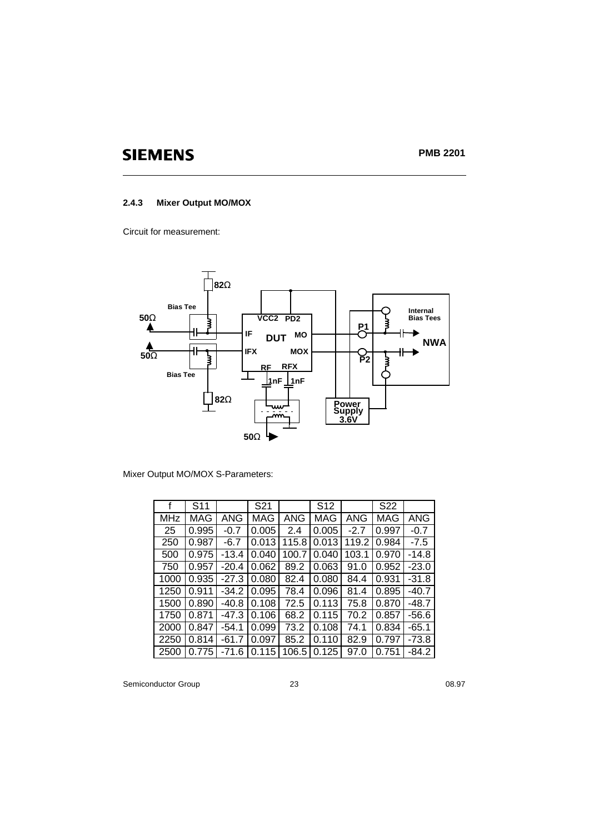### **2.4.3 Mixer Output MO/MOX**

Circuit for measurement:



Mixer Output MO/MOX S-Parameters:

|            | S <sub>11</sub> |         | S21        |       | S <sub>12</sub> |        | S <sub>22</sub> |         |
|------------|-----------------|---------|------------|-------|-----------------|--------|-----------------|---------|
| <b>MHz</b> | MAG             | ANG     | <b>MAG</b> | ANG   | MAG             | ANG    | MAG             | ANG     |
| 25         | 0.995           | $-0.7$  | 0.005      | 2.4   | 0.005           | $-2.7$ | 0.997           | $-0.7$  |
| 250        | 0.987           | $-6.7$  | 0.013      | 115.8 | 0.013           | 119.2  | 0.984           | $-7.5$  |
| 500        | 0.975           | $-13.4$ | 0.040      | 100.7 | 0.040           | 103.1  | 0.970           | $-14.8$ |
| 750        | 0.957           | $-20.4$ | 0.062      | 89.2  | 0.063           | 91.0   | 0.952           | $-23.0$ |
| 1000       | 0.935           | $-27.3$ | 0.080      | 82.4  | 0.080           | 84.4   | 0.931           | $-31.8$ |
| 1250       | 0.911           | $-34.2$ | 0.095      | 78.4  | 0.096           | 81.4   | 0.895           | $-40.7$ |
| 1500       | 0.890           | $-40.8$ | 0.108      | 72.5  | 0.113           | 75.8   | 0.870           | -48.7   |
| 1750       | 0.871           | $-47.3$ | 0.106      | 68.2  | 0.115           | 70.2   | 0.857           | $-56.6$ |
| 2000       | 0.847           | $-54.1$ | 0.099      | 73.2  | 0.108           | 74.1   | 0.834           | $-65.1$ |
| 2250       | 0.814           | $-61.7$ | 0.097      | 85.2  | 0.110           | 82.9   | 0.797           | $-73.8$ |
| 2500       | 0.775           | -71.6   | 0.115      | 106.5 | 0.125           | 97.0   | 0.751           | -84.2   |

Semiconductor Group 23 08.97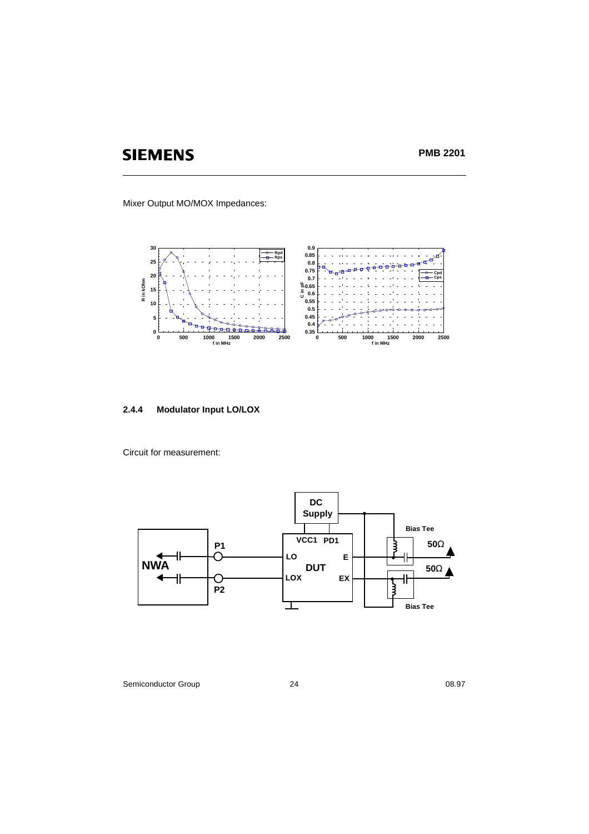**PMB 2201**

Mixer Output MO/MOX Impedances:



### **2.4.4 Modulator Input LO/LOX**

Circuit for measurement:



Semiconductor Group 24 08.97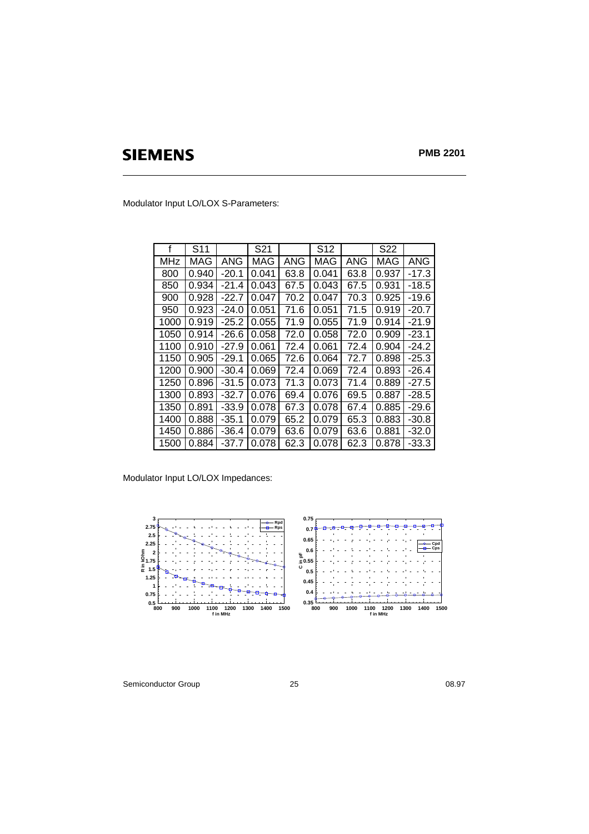Modulator Input LO/LOX S-Parameters:

| f          | S <sub>11</sub> |         | S <sub>2</sub> 1 |      | S <sub>12</sub> |      | S <sub>22</sub> |         |
|------------|-----------------|---------|------------------|------|-----------------|------|-----------------|---------|
| <b>MHz</b> | MAG             | ANG     | MAG              | ANG  | MAG             | ANG  | MAG             | ANG     |
| 800        | 0.940           | $-20.1$ | 0.041            | 63.8 | 0.041           | 63.8 | 0.937           | $-17.3$ |
| 850        | 0.934           | $-21.4$ | 0.043            | 67.5 | 0.043           | 67.5 | 0.931           | -18.5   |
| 900        | 0.928           | -22.7   | 0.047            | 70.2 | 0.047           | 70.3 | 0.925           | -19.6   |
| 950        | 0.923           | $-24.0$ | 0.051            | 71.6 | 0.051           | 71.5 | 0.919           | $-20.7$ |
| 1000       | 0.919           | $-25.2$ | 0.055            | 71.9 | 0.055           | 71.9 | 0.914           | $-21.9$ |
| 1050       | 0.914           | $-26.6$ | 0.058            | 72.0 | 0.058           | 72.0 | 0.909           | $-23.1$ |
| 1100       | 0.910           | $-27.9$ | 0.061            | 72.4 | 0.061           | 72.4 | 0.904           | $-24.2$ |
| 1150       | 0.905           | $-29.1$ | 0.065            | 72.6 | 0.064           | 72.7 | 0.898           | $-25.3$ |
| 1200       | 0.900           | $-30.4$ | 0.069            | 72.4 | 0.069           | 72.4 | 0.893           | $-26.4$ |
| 1250       | 0.896           | $-31.5$ | 0.073            | 71.3 | 0.073           | 71.4 | 0.889           | $-27.5$ |
| 1300       | 0.893           | $-32.7$ | 0.076            | 69.4 | 0.076           | 69.5 | 0.887           | $-28.5$ |
| 1350       | 0.891           | -33.9   | 0.078            | 67.3 | 0.078           | 67.4 | 0.885           | $-29.6$ |
| 1400       | 0.888           | $-35.1$ | 0.079            | 65.2 | 0.079           | 65.3 | 0.883           | $-30.8$ |
| 1450       | 0.886           | $-36.4$ | 0.079            | 63.6 | 0.079           | 63.6 | 0.881           | $-32.0$ |
| 1500       | 0.884           | $-37.7$ | 0.078            | 62.3 | 0.078           | 62.3 | 0.878           | $-33.3$ |

Modulator Input LO/LOX Impedances:



Semiconductor Group 25 08.97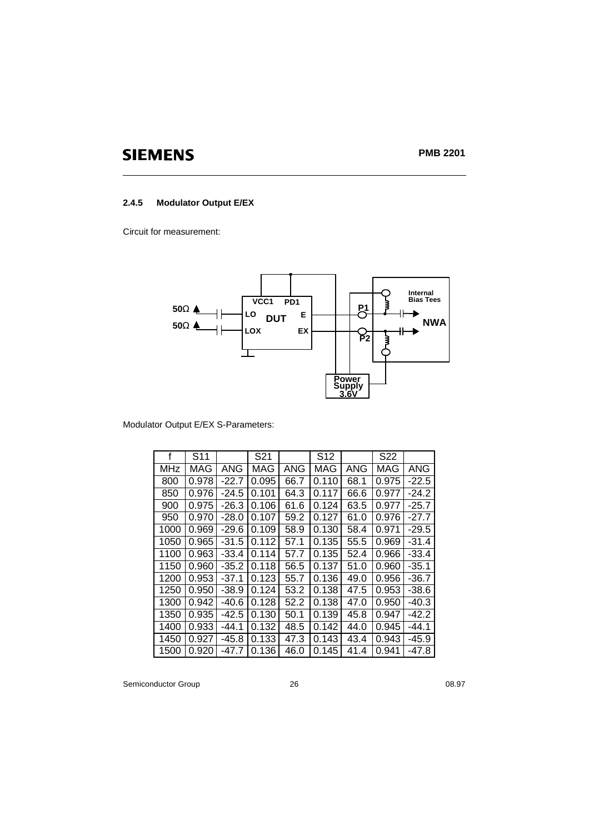### **2.4.5 Modulator Output E/EX**

Circuit for measurement:



### Modulator Output E/EX S-Parameters:

| f          | S11   |         | S21   |      | S <sub>12</sub> |      | S <sub>22</sub> |            |
|------------|-------|---------|-------|------|-----------------|------|-----------------|------------|
| <b>MHz</b> | MAG   | ANG     | MAG   | ANG  | <b>MAG</b>      | ANG  | MAG             | <b>ANG</b> |
| 800        | 0.978 | $-22.7$ | 0.095 | 66.7 | 0.110           | 68.1 | 0.975           | $-22.5$    |
| 850        | 0.976 | $-24.5$ | 0.101 | 64.3 | 0.117           | 66.6 | 0.977           | $-24.2$    |
| 900        | 0.975 | $-26.3$ | 0.106 | 61.6 | 0.124           | 63.5 | 0.977           | $-25.7$    |
| 950        | 0.970 | $-28.0$ | 0.107 | 59.2 | 0.127           | 61.0 | 0.976           | $-27.7$    |
| 1000       | 0.969 | $-29.6$ | 0.109 | 58.9 | 0.130           | 58.4 | 0.971           | $-29.5$    |
| 1050       | 0.965 | $-31.5$ | 0.112 | 57.1 | 0.135           | 55.5 | 0.969           | $-31.4$    |
| 1100       | 0.963 | $-33.4$ | 0.114 | 57.7 | 0.135           | 52.4 | 0.966           | $-33.4$    |
| 1150       | 0.960 | $-35.2$ | 0.118 | 56.5 | 0.137           | 51.0 | 0.960           | $-35.1$    |
| 1200       | 0.953 | $-37.1$ | 0.123 | 55.7 | 0.136           | 49.0 | 0.956           | $-36.7$    |
| 1250       | 0.950 | $-38.9$ | 0.124 | 53.2 | 0.138           | 47.5 | 0.953           | $-38.6$    |
| 1300       | 0.942 | $-40.6$ | 0.128 | 52.2 | 0.138           | 47.0 | 0.950           | $-40.3$    |
| 1350       | 0.935 | $-42.5$ | 0.130 | 50.1 | 0.139           | 45.8 | 0.947           | $-42.2$    |
| 1400       | 0.933 | $-44.1$ | 0.132 | 48.5 | 0.142           | 44.0 | 0.945           | $-44.1$    |
| 1450       | 0.927 | -45.8   | 0.133 | 47.3 | 0.143           | 43.4 | 0.943           | -45.9      |
| 1500       | 0.920 | -47.7   | 0.136 | 46.0 | 0.145           | 41.4 | 0.941           | -47.8      |

Semiconductor Group 26 26 08.97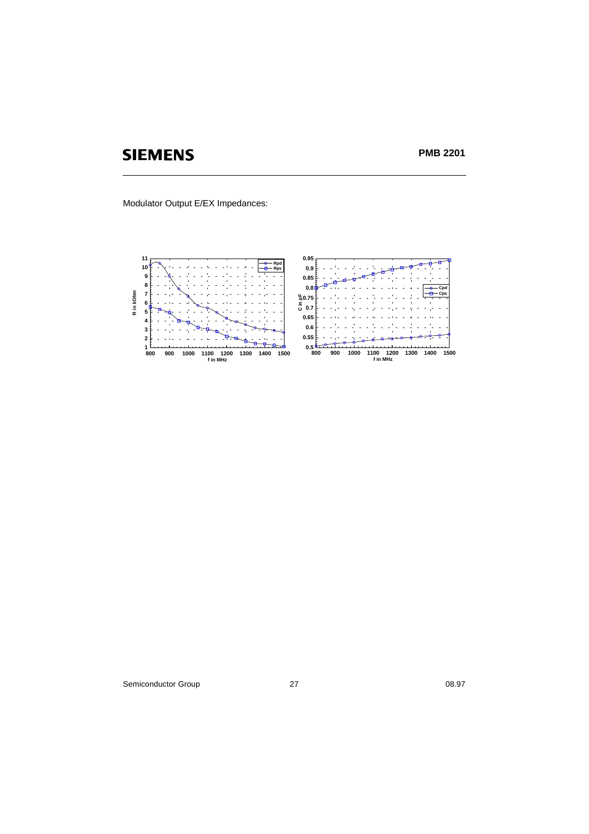**PMB 2201**

Modulator Output E/EX Impedances:



Semiconductor Group 27 08.97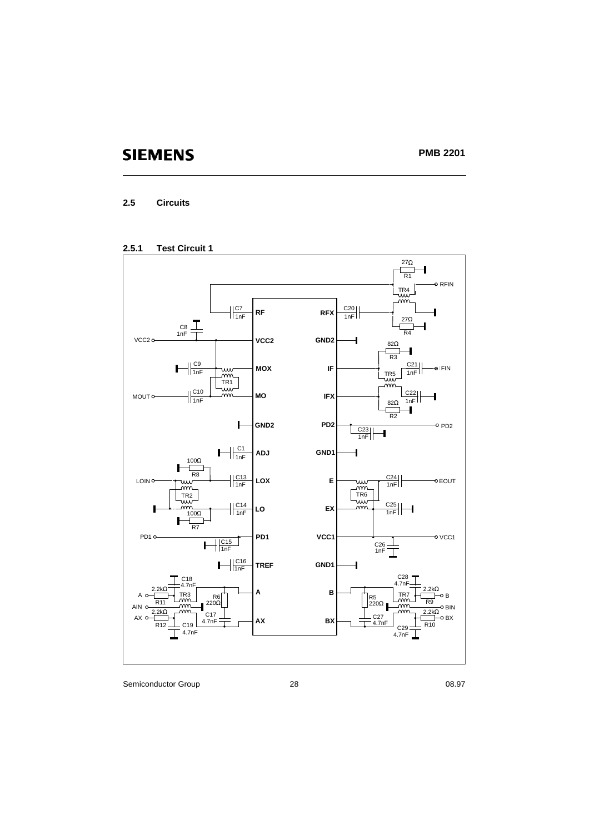### **2.5 Circuits**





Semiconductor Group 28 28 08.97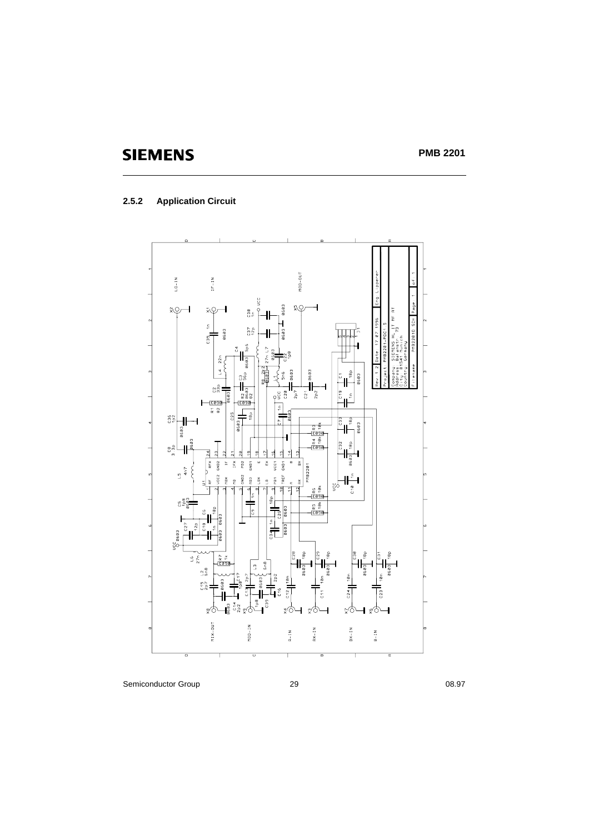### **2.5.2 Application Circuit**

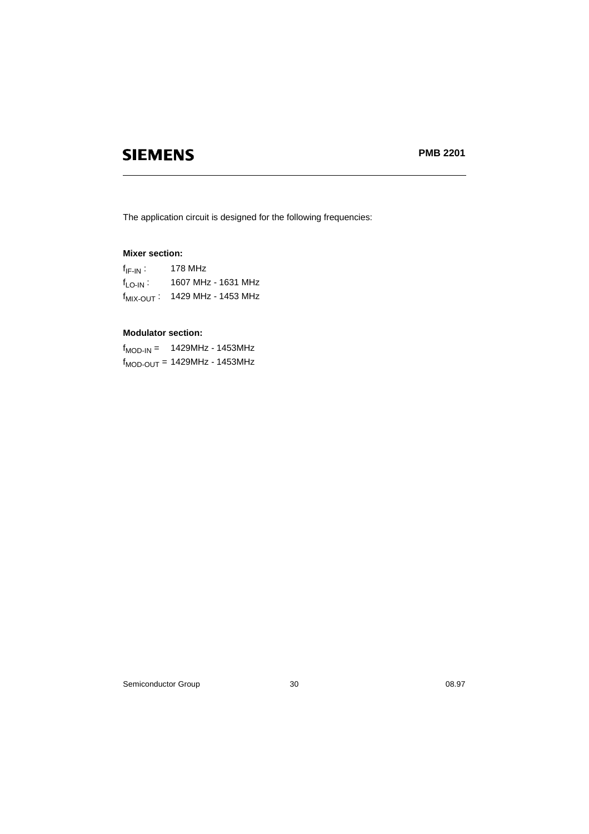The application circuit is designed for the following frequencies:

### **Mixer section:**

| $f_{IF-IN}$ : | 178 MHz                                    |  |
|---------------|--------------------------------------------|--|
| $f_{LO-IN}$ : | 1607 MHz - 1631 MHz                        |  |
|               | f <sub>MIX-OUT</sub> : 1429 MHz - 1453 MHz |  |

### **Modulator section:**

| $f_{\text{MOD-IN}} =$             | 1429MHz - 1453MHz |  |
|-----------------------------------|-------------------|--|
| $f_{MOD-OUT}$ = 1429MHz - 1453MHz |                   |  |